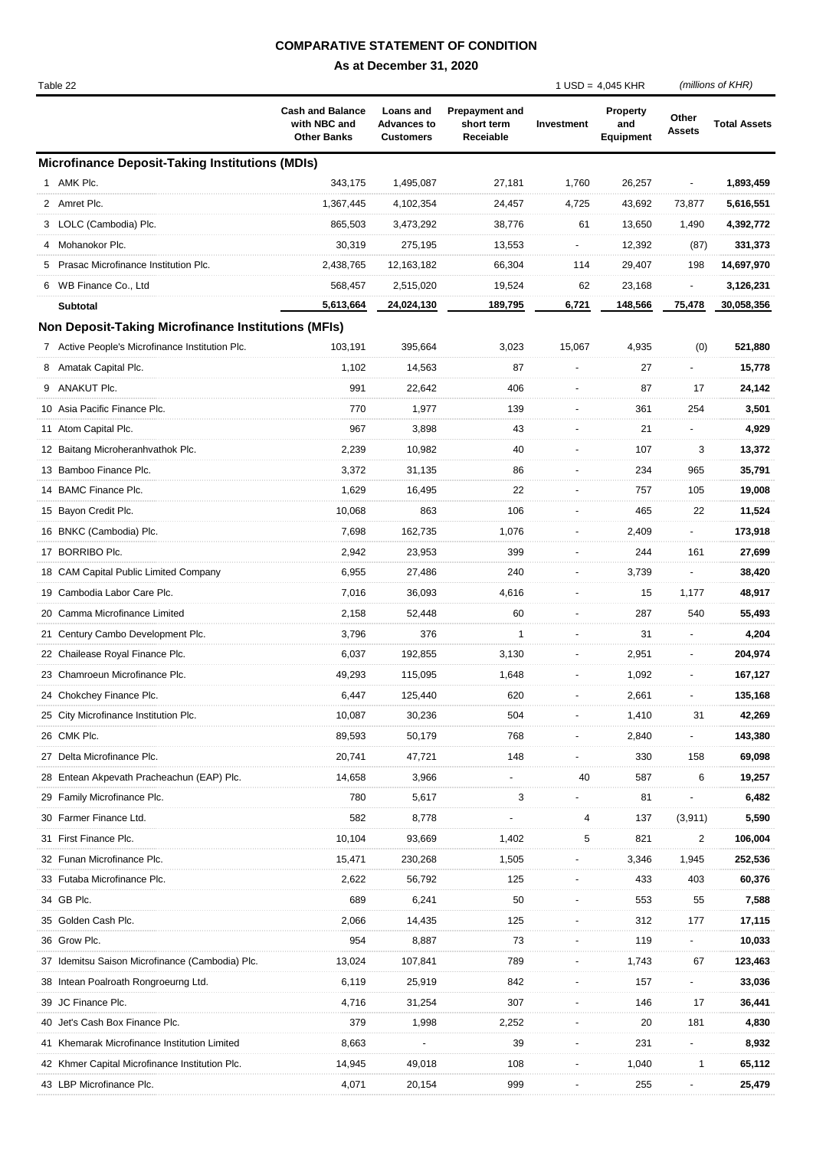## **COMPARATIVE STATEMENT OF CONDITION**

**As at December 31, 2020**

| Table 22 |                                                            |                                                               |                                                     |                                                  |            | $1$ USD = 4,045 KHR          |                          | (millions of KHR)   |  |
|----------|------------------------------------------------------------|---------------------------------------------------------------|-----------------------------------------------------|--------------------------------------------------|------------|------------------------------|--------------------------|---------------------|--|
|          |                                                            | <b>Cash and Balance</b><br>with NBC and<br><b>Other Banks</b> | Loans and<br><b>Advances to</b><br><b>Customers</b> | <b>Prepayment and</b><br>short term<br>Receiable | Investment | Property<br>and<br>Equipment | Other<br><b>Assets</b>   | <b>Total Assets</b> |  |
|          | <b>Microfinance Deposit-Taking Institutions (MDIs)</b>     |                                                               |                                                     |                                                  |            |                              |                          |                     |  |
|          | 1 AMK Plc.                                                 | 343,175                                                       | 1,495,087                                           | 27,181                                           | 1,760      | 26,257                       |                          | 1,893,459           |  |
|          | 2 Amret Plc.                                               | 1,367,445                                                     | 4,102,354                                           | 24,457                                           | 4,725      | 43,692                       | 73,877                   | 5,616,551           |  |
|          | 3 LOLC (Cambodia) Plc.                                     | 865,503                                                       | 3,473,292                                           | 38,776                                           | 61         | 13,650                       | 1,490                    | 4,392,772           |  |
|          | 4 Mohanokor Plc.                                           | 30,319                                                        | 275,195                                             | 13,553                                           |            | 12,392                       | (87)                     | 331,373             |  |
| 5        | Prasac Microfinance Institution Plc.                       | 2,438,765                                                     | 12, 163, 182                                        | 66,304                                           | 114        | 29,407                       | 198                      | 14,697,970          |  |
|          | 6 WB Finance Co., Ltd                                      | 568,457                                                       | 2,515,020                                           | 19,524                                           | 62         | 23,168                       |                          | 3,126,231           |  |
|          | Subtotal                                                   | 5,613,664                                                     | 24,024,130                                          | 189,795                                          | 6,721      | 148,566                      | 75,478                   | 30,058,356          |  |
|          | <b>Non Deposit-Taking Microfinance Institutions (MFIs)</b> |                                                               |                                                     |                                                  |            |                              |                          |                     |  |
|          | 7 Active People's Microfinance Institution Plc.            | 103,191                                                       | 395,664                                             | 3,023                                            | 15,067     | 4,935                        | (0)                      | 521,880             |  |
|          | 8 Amatak Capital Plc.                                      | 1,102                                                         | 14,563                                              | 87                                               |            | 27                           |                          | 15,778              |  |
|          | 9 ANAKUT Plc.                                              | 991                                                           | 22,642                                              | 406                                              |            | 87                           | 17                       | 24,142              |  |
|          | 10 Asia Pacific Finance Plc.                               | 770                                                           | 1,977                                               | 139                                              |            | 361                          | 254                      | 3,501               |  |
|          | 11 Atom Capital Plc.                                       | 967                                                           | 3,898                                               | 43                                               |            | 21                           |                          | 4,929               |  |
|          | 12 Baitang Microheranhvathok Plc.                          | 2,239                                                         | 10,982                                              | 40                                               |            | 107                          | 3                        | 13,372              |  |
|          | 13 Bamboo Finance Plc.                                     | 3,372                                                         | 31,135                                              | 86                                               |            | 234                          | 965                      | 35,791              |  |
|          | 14 BAMC Finance Plc.                                       | 1,629                                                         | 16,495                                              | 22                                               |            | 757                          | 105                      | 19,008              |  |
|          | 15 Bayon Credit Plc.                                       | 10,068                                                        | 863                                                 | 106                                              |            | 465                          | 22                       | 11,524              |  |
|          | 16 BNKC (Cambodia) Plc.                                    | 7,698                                                         | 162,735                                             | 1,076                                            |            | 2,409                        | $\blacksquare$           | 173,918             |  |
|          | 17 BORRIBO Plc.                                            | 2,942                                                         | 23,953                                              | 399                                              |            | 244                          | 161                      | 27,699              |  |
|          | 18 CAM Capital Public Limited Company                      | 6,955                                                         | 27,486                                              | 240                                              |            | 3,739                        |                          | 38,420              |  |
|          | 19 Cambodia Labor Care Plc.                                | 7,016                                                         | 36,093                                              | 4,616                                            |            | 15                           | 1,177                    | 48,917              |  |
|          | 20 Camma Microfinance Limited                              | 2,158                                                         | 52,448                                              | 60                                               |            | 287                          | 540                      | 55,493              |  |
|          | 21 Century Cambo Development Plc.                          | 3,796                                                         | 376                                                 | 1                                                |            | 31                           |                          | 4,204               |  |
|          | 22 Chailease Royal Finance Plc.                            | 6,037                                                         | 192,855                                             | 3,130                                            |            | 2,951                        |                          | 204,974             |  |
|          | 23 Chamroeun Microfinance Plc.                             | 49,293                                                        | 115,095                                             | 1,648                                            |            | 1,092                        |                          | 167,127             |  |
|          | 24 Chokchey Finance Plc.                                   | 6,447                                                         | 125,440                                             | 620                                              |            | 2,661                        | $\overline{\phantom{a}}$ | 135,168             |  |
|          | 25 City Microfinance Institution Plc.                      | 10,087                                                        | 30,236                                              | 504                                              |            | 1,410                        | 31                       | 42,269              |  |
|          | 26 CMK Plc.                                                | 89,593                                                        | 50,179                                              | 768                                              |            | 2,840                        |                          | 143,380             |  |
|          | 27 Delta Microfinance Plc.                                 | 20,741                                                        | 47,721                                              | 148                                              |            | 330                          | 158                      | 69,098              |  |
|          | 28 Entean Akpevath Pracheachun (EAP) Plc.                  | 14,658                                                        | 3,966                                               |                                                  | 40         | 587                          | 6                        | 19,257              |  |
|          | 29 Family Microfinance Plc.                                | 780                                                           | 5,617                                               | 3                                                |            | 81                           |                          | 6,482               |  |
|          | 30 Farmer Finance Ltd.                                     | 582                                                           | 8,778                                               |                                                  | 4          | 137                          | (3,911)                  | 5,590               |  |
|          | 31 First Finance Plc.                                      | 10,104                                                        | 93,669                                              | 1,402                                            | 5          | 821                          | 2                        | 106,004             |  |
|          | 32 Funan Microfinance Plc.                                 | 15,471                                                        | 230,268                                             | 1,505                                            |            | 3,346                        | 1,945                    | 252,536             |  |
|          | 33 Futaba Microfinance Plc.                                | 2,622                                                         | 56,792                                              | 125                                              |            | 433                          | 403                      | 60,376              |  |
|          | 34 GB Plc.                                                 | 689                                                           | 6,241                                               | 50                                               |            | 553                          | 55                       | 7,588               |  |
|          | 35 Golden Cash Plc.                                        | 2,066                                                         | 14,435                                              | 125                                              |            | 312                          | 177                      | 17,115              |  |
|          | 36 Grow Plc.                                               | 954                                                           | 8,887                                               | 73                                               |            | 119                          |                          | 10,033              |  |
|          | 37 Idemitsu Saison Microfinance (Cambodia) Plc.            | 13,024                                                        | 107,841                                             | 789                                              |            | 1,743                        | 67                       | 123,463             |  |
|          | 38 Intean Poalroath Rongroeurng Ltd.                       | 6,119                                                         | 25,919                                              | 842                                              |            | 157                          |                          | 33,036              |  |
|          | 39 JC Finance Plc.                                         | 4,716                                                         | 31,254                                              | 307                                              |            | 146                          | 17                       | 36,441              |  |
|          | 40 Jet's Cash Box Finance Plc.                             | 379                                                           | 1,998                                               | 2,252                                            |            | 20                           | 181                      | 4,830               |  |
|          | 41 Khemarak Microfinance Institution Limited               | 8,663                                                         |                                                     | 39                                               |            | 231                          |                          | 8,932               |  |
|          | 42 Khmer Capital Microfinance Institution Plc.             | 14,945                                                        | 49,018                                              | 108                                              |            | 1,040                        |                          | 65,112              |  |
|          | 43 LBP Microfinance Plc.                                   | 4,071                                                         | 20,154                                              | 999                                              |            | 255                          |                          | 25,479              |  |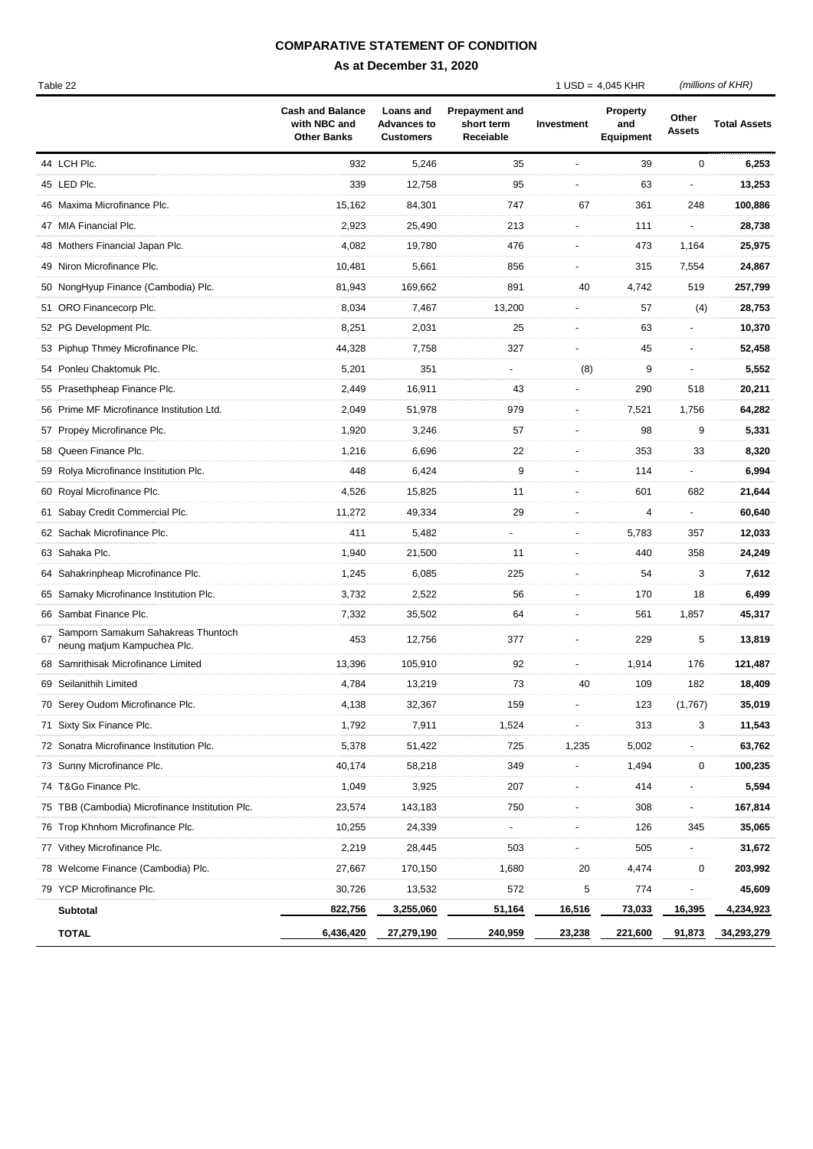## **COMPARATIVE STATEMENT OF CONDITION**

**As at December 31, 2020**

| Table 22 |                                                                   |                                                               |                                                     |                                                  |            | $1$ USD = 4,045 KHR          | (millions of KHR)      |                     |  |
|----------|-------------------------------------------------------------------|---------------------------------------------------------------|-----------------------------------------------------|--------------------------------------------------|------------|------------------------------|------------------------|---------------------|--|
|          |                                                                   | <b>Cash and Balance</b><br>with NBC and<br><b>Other Banks</b> | Loans and<br><b>Advances to</b><br><b>Customers</b> | <b>Prepayment and</b><br>short term<br>Receiable | Investment | Property<br>and<br>Equipment | Other<br><b>Assets</b> | <b>Total Assets</b> |  |
|          | 44 LCH Plc.                                                       | 932                                                           | 5,246                                               | 35                                               |            | 39                           | $\mathbf 0$            | 6,253               |  |
|          | 45 LED Plc.                                                       | 339                                                           | 12,758                                              | 95                                               |            | 63                           |                        | 13,253              |  |
|          | 46 Maxima Microfinance Plc.                                       | 15,162                                                        | 84,301                                              | 747                                              | 67         | 361                          | 248                    | 100,886             |  |
|          | 47 MIA Financial Plc.                                             | 2,923                                                         | 25,490                                              | 213                                              |            | 111                          |                        | 28,738              |  |
|          | 48 Mothers Financial Japan Plc.                                   | 4,082                                                         | 19,780                                              | 476                                              |            | 473                          | 1,164                  | 25,975              |  |
|          | 49 Niron Microfinance Plc.                                        | 10,481                                                        | 5,661                                               | 856                                              |            | 315                          | 7,554                  | 24,867              |  |
|          | 50 NongHyup Finance (Cambodia) Plc.                               | 81,943                                                        | 169,662                                             | 891                                              | 40         | 4,742                        | 519                    | 257,799             |  |
|          | 51 ORO Financecorp Plc.                                           | 8,034                                                         | 7,467                                               | 13,200                                           |            | 57                           | (4)                    | 28,753              |  |
|          | 52 PG Development Plc.                                            | 8,251                                                         | 2,031                                               | 25                                               |            | 63                           |                        | 10,370              |  |
|          | 53 Piphup Thmey Microfinance Plc.                                 | 44,328                                                        | 7,758                                               | 327                                              |            | 45                           |                        | 52,458              |  |
|          | 54 Ponleu Chaktomuk Plc.                                          | 5,201                                                         | 351                                                 |                                                  | (8)        | 9                            |                        | 5,552               |  |
|          | 55 Prasethpheap Finance Plc.                                      | 2,449                                                         | 16,911                                              | 43                                               |            | 290                          | 518                    | 20,211              |  |
|          | 56 Prime MF Microfinance Institution Ltd.                         | 2,049                                                         | 51,978                                              | 979                                              |            | 7,521                        | 1,756                  | 64,282              |  |
|          | 57 Propey Microfinance Plc.                                       | 1,920                                                         | 3,246                                               | 57                                               |            | 98                           | 9                      | 5,331               |  |
|          | 58 Queen Finance Plc.                                             | 1,216                                                         | 6,696                                               | 22                                               |            | 353                          | 33                     | 8,320               |  |
|          | 59 Rolya Microfinance Institution Plc.                            | 448                                                           | 6,424                                               | 9                                                |            | 114                          |                        | 6,994               |  |
|          | 60 Royal Microfinance Plc.                                        | 4,526                                                         | 15,825                                              | 11                                               |            | 601                          | 682                    | 21,644              |  |
|          | 61 Sabay Credit Commercial Plc.                                   | 11,272                                                        | 49,334                                              | 29                                               |            | 4                            |                        | 60,640              |  |
|          | 62 Sachak Microfinance Plc.                                       | 411                                                           | 5,482                                               |                                                  |            | 5,783                        | 357                    | 12,033              |  |
|          | 63 Sahaka Plc.                                                    | 1,940                                                         | 21,500                                              | 11                                               |            | 440                          | 358                    | 24,249              |  |
|          | 64 Sahakrinpheap Microfinance Plc.                                | 1,245                                                         | 6,085                                               | 225                                              |            | 54                           | 3                      | 7,612               |  |
|          | 65 Samaky Microfinance Institution Plc.                           | 3,732                                                         | 2,522                                               | 56                                               |            | 170                          | 18                     | 6,499               |  |
|          | 66 Sambat Finance Plc.                                            | 7,332                                                         | 35,502                                              | 64                                               |            | 561                          | 1,857                  | 45,317              |  |
| 67       | Samporn Samakum Sahakreas Thuntoch<br>neung matjum Kampuchea Plc. | 453                                                           | 12,756                                              | 377                                              |            | 229                          | 5                      | 13,819              |  |
|          | 68 Samrithisak Microfinance Limited                               | 13,396                                                        | 105,910                                             | 92                                               |            | 1,914                        | 176                    | 121,487             |  |
|          | 69 Seilanithih Limited                                            | 4,784                                                         | 13,219                                              | 73                                               | 40         | 109                          | 182                    | 18,409              |  |
|          | 70 Serey Oudom Microfinance Plc.                                  | 4,138                                                         | 32,367                                              | 159                                              |            | 123                          | (1,767)                | 35,019              |  |
|          | 71 Sixty Six Finance Plc.                                         | 1,792                                                         | 7,911                                               | 1,524                                            |            | 313                          | 3                      | 11,543              |  |
|          | 72 Sonatra Microfinance Institution Plc.                          | 5,378                                                         | 51,422                                              | 725                                              | 1,235      | 5,002                        |                        | 63,762              |  |
|          | 73 Sunny Microfinance Plc.                                        | 40,174                                                        | 58,218                                              | 349                                              |            | 1,494                        | 0                      | 100,235             |  |
|          | 74 T&Go Finance Plc.                                              | 1,049                                                         | 3,925                                               | 207                                              |            | 414                          |                        | 5,594               |  |
|          | 75 TBB (Cambodia) Microfinance Institution Plc.                   | 23,574                                                        | 143,183                                             | 750                                              |            | 308                          |                        | 167,814             |  |
|          | 76 Trop Khnhom Microfinance Plc.                                  | 10,255                                                        | 24,339                                              |                                                  |            | 126                          | 345                    | 35,065              |  |
|          | 77 Vithey Microfinance Plc.                                       | 2,219                                                         | 28,445                                              | 503                                              |            | 505                          |                        | 31,672              |  |
|          | 78 Welcome Finance (Cambodia) Plc.                                | 27,667                                                        | 170,150                                             | 1,680                                            | 20         | 4,474                        | 0                      | 203,992             |  |
|          | 79 YCP Microfinance Plc.                                          | 30,726                                                        | 13,532                                              | 572                                              | 5          | 774                          |                        | 45,609              |  |
|          | Subtotal                                                          | 822,756                                                       | 3,255,060                                           | 51,164                                           | 16,516     | 73,033                       | 16,395                 | 4,234,923           |  |
|          | <b>TOTAL</b>                                                      | 6,436,420                                                     | 27,279,190                                          | 240,959                                          | 23,238     | 221,600                      | 91,873                 | 34,293,279          |  |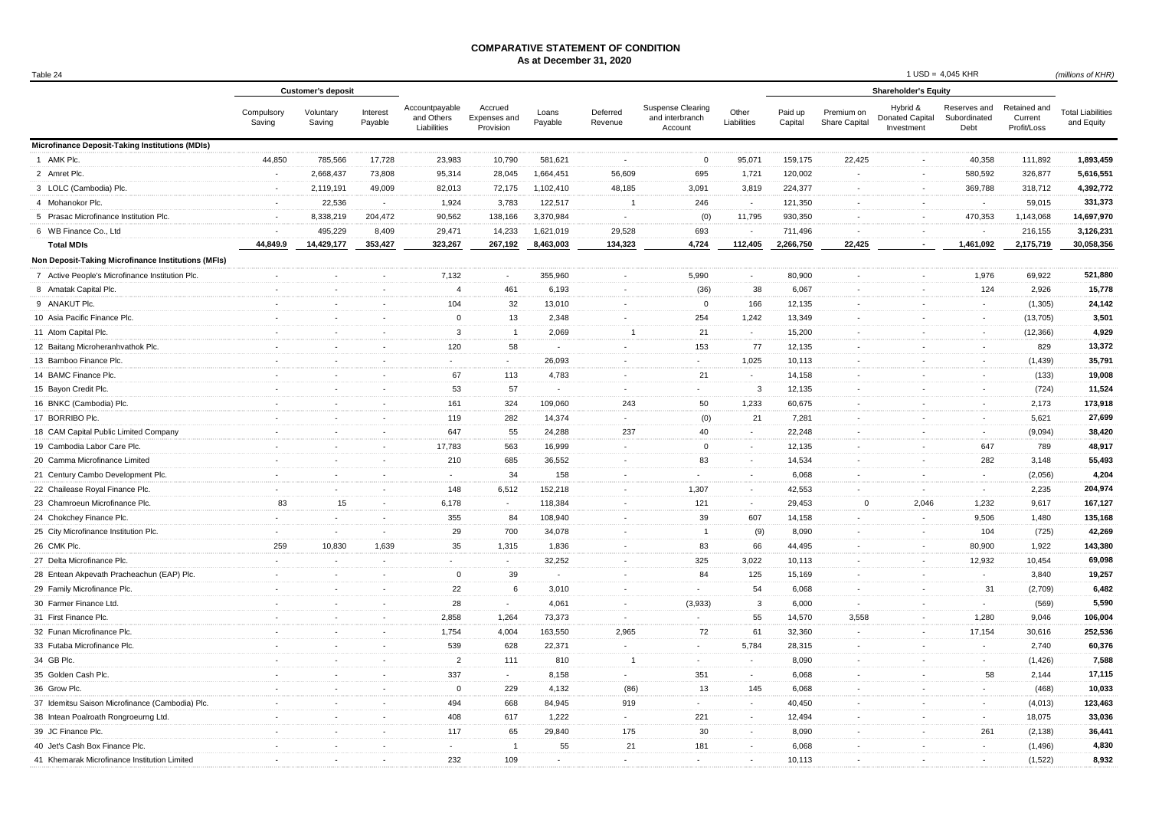## **COMPARATIVE STATEMENT OF CONDITION As at December 31, 2020**

| Table 24                                               |                      |                           |                          |                                             |                                      |                  |                          |                                                        |                             |                    |                             |                                           | $1$ USD = 4,045 KHR                  |                                        | (millions of KHR)                      |
|--------------------------------------------------------|----------------------|---------------------------|--------------------------|---------------------------------------------|--------------------------------------|------------------|--------------------------|--------------------------------------------------------|-----------------------------|--------------------|-----------------------------|-------------------------------------------|--------------------------------------|----------------------------------------|----------------------------------------|
|                                                        |                      | <b>Customer's deposit</b> |                          |                                             |                                      | Loans<br>Payable | Deferred<br>Revenue      | <b>Suspense Clearing</b><br>and interbranch<br>Account | Other<br>Liabilities        |                    |                             | <b>Shareholder's Equity</b>               |                                      |                                        | <b>Total Liabilities</b><br>and Equity |
|                                                        | Compulsory<br>Saving | Voluntary<br>Saving       | Interest<br>Payable      | Accountpayable<br>and Others<br>Liabilities | Accrued<br>Expenses and<br>Provision |                  |                          |                                                        |                             | Paid up<br>Capital | Premium on<br>Share Capital | Hybrid &<br>Donated Capital<br>Investment | Reserves and<br>Subordinated<br>Debt | Retained and<br>Current<br>Profit/Loss |                                        |
| <b>Microfinance Deposit-Taking Institutions (MDIs)</b> |                      |                           |                          |                                             |                                      |                  |                          |                                                        |                             |                    |                             |                                           |                                      |                                        |                                        |
| 1 AMK Plc.                                             | 44,850               | 785,566                   | 17,728                   | 23,983                                      | 10,790                               | 581,621          | $\sim$                   | $\mathbf 0$                                            | 95,071                      | 159,175            | 22,425                      | $\sim$                                    | 40,358                               | 111,892                                | 1,893,459                              |
| 2 Amret Plc.                                           | $\sim$               | 2,668,437                 | 73,808                   | 95,314                                      | 28,045                               | 1,664,451        | 56,609                   | 695                                                    | 1,721                       | 120,002            | $\sim$                      | $\overline{\phantom{a}}$                  | 580,592                              | 326,877                                | 5,616,551                              |
| 3 LOLC (Cambodia) Plc.                                 | $\blacksquare$       | 2,119,191                 | 49,009                   | 82,013                                      | 72,175                               | 1,102,410        | 48,185                   | 3,091                                                  | 3,819                       | 224,377            | $\sim$                      | $\sim$                                    | 369,788                              | 318,712                                | 4,392,772                              |
| 4 Mohanokor Plc.                                       | $\sim$               | 22,536                    | $\sim$                   | 1,924                                       | 3,783                                | 122,517          | $\overline{1}$           | 246                                                    | $\sim$                      | 121,350            | $\overline{a}$              | $\overline{\phantom{a}}$                  | $\sim$                               | 59,015                                 | 331,373                                |
| 5 Prasac Microfinance Institution Plc.                 | $\blacksquare$       | 8,338,219                 | 204,472                  | 90,562                                      | 138,166                              | 3,370,984        | $\sim$                   | (0)                                                    | 11,795                      | 930,350            | $\sim$                      | $\sim$                                    | 470,353                              | 1,143,068                              | 14,697,970                             |
| 6 WB Finance Co., Ltd                                  | ÷.                   | 495,229                   | 8,409                    | 29,471                                      | 14,233                               | 1,621,019        | 29,528                   | 693                                                    | $\sim$                      | 711,496            | $\sim$                      |                                           | $\omega$                             | 216,155                                | 3,126,231                              |
| <b>Total MDIs</b>                                      | 44,849.9             | 14,429,177                | 353,427                  | 323,267                                     | 267,192                              | 8,463,003        | 134,323                  | 4,724                                                  | 112,405                     | 2,266,750          | 22,425                      | $\sim$                                    | 1,461,092                            | 2,175,719                              | 30,058,356                             |
| Non Deposit-Taking Microfinance Institutions (MFIs)    |                      |                           |                          |                                             |                                      |                  |                          |                                                        |                             |                    |                             |                                           |                                      |                                        |                                        |
| 7 Active People's Microfinance Institution Plc.        | $\omega$             | $\overline{\phantom{a}}$  | $\overline{\phantom{a}}$ | 7,132                                       | $\omega$                             | 355,960          |                          | 5,990                                                  | $\mathcal{L}_{\mathcal{A}}$ | 80,900             |                             |                                           | 1,976                                | 69,922                                 | 521,880                                |
| 8 Amatak Capital Plc.                                  | ÷.                   | $\sim$                    | $\sim$                   | $\overline{4}$                              | 461                                  | 6,193            | $\overline{\phantom{a}}$ | (36)                                                   | 38                          | 6,067              | $\sim$                      | $\overline{\phantom{a}}$                  | 124                                  | 2,926                                  | 15,778                                 |
| 9 ANAKUT Plc.                                          | ÷.                   | $\sim$                    | $\sim$                   | 104                                         | 32                                   | 13,010           | $\sim$                   | $\mathbf 0$                                            | 166                         | 12,135             | $\sim$                      | $\overline{\phantom{a}}$                  | $\sim$                               | (1, 305)                               | 24,142                                 |
| 10 Asia Pacific Finance Plc.                           | $\blacksquare$       | $\sim$                    | $\sim$                   | $\mathbf 0$                                 | 13                                   | 2,348            | $\sim$                   | 254                                                    | 1,242                       | 13,349             |                             | $\overline{\phantom{a}}$                  | $\sim$                               | (13,705)                               | 3,501                                  |
| 11 Atom Capital Plc.                                   | $\sim$               | $\sim$                    | $\sim$                   | 3                                           | $\overline{1}$                       | 2,069            | $\overline{1}$           | 21                                                     | $\sim$                      | 15,200             | $\sim$                      | $\sim$                                    | $\sim$                               | (12, 366)                              | 4,929                                  |
| 12 Baitang Microheranhvathok Plc.                      | $\sim$               | $\sim$                    | $\sim$                   | 120                                         | 58                                   | $\sim$           | $\sim$                   | 153                                                    | 77                          | 12,135             | $\sim$                      | $\sim$                                    | $\sim$                               | 829                                    | 13,372                                 |
| 13 Bamboo Finance Plc.                                 | $\blacksquare$       | $\sim$                    | $\sim$                   | $\sim$                                      | $\sim$                               | 26,093           | $\blacksquare$           | $\sim$                                                 | 1,025                       | 10,113             | $\sim$                      | $\sim$                                    | $\blacksquare$                       | (1,439)                                | 35,791                                 |
| 14 BAMC Finance Plc.                                   | $\blacksquare$       | $\sim$                    | $\sim$                   | 67                                          | 113                                  | 4,783            | $\blacksquare$           | 21                                                     | $\sim$                      | 14,158             | $\blacksquare$              | $\sim$                                    | $\blacksquare$                       | (133)                                  | 19,008                                 |
| 15 Bayon Credit Plc.                                   | $\blacksquare$       | $\sim$                    | $\sim$                   | 53                                          | 57                                   | $\sim$           | $\sim$                   | $\sim$                                                 | 3                           | 12,135             | $\blacksquare$              | $\sim$                                    | $\sim$                               | (724)                                  | 11,524                                 |
| 16 BNKC (Cambodia) Plc.                                | $\blacksquare$       | $\blacksquare$            | $\sim$                   | 161                                         | 324                                  | 109,060          | 243                      | 50                                                     | 1,233                       | 60,675             | $\blacksquare$              | $\sim$                                    | $\blacksquare$                       | 2,173                                  | 173,918                                |
| 17 BORRIBO Plc.                                        | $\blacksquare$       | $\sim$                    | $\sim$                   | 119                                         | 282                                  | 14,374           | $\sim$                   | (0)                                                    | 21                          | 7,281              | $\sim$                      | $\sim$                                    | $\sim$                               | 5,621                                  | 27,699                                 |
| 18 CAM Capital Public Limited Company                  | $\sim$               | $\overline{a}$            | $\sim$                   | 647                                         | 55                                   | 24,288           | 237                      | 40                                                     | $\sim$                      | 22,248             | $\overline{\phantom{a}}$    | $\sim$                                    | $\sim$                               | (9,094)                                | 38,420                                 |
| 19 Cambodia Labor Care Plc.                            | $\sim$               | $\sim$                    | $\sim$                   | 17,783                                      | 563                                  | 16,999           | $\sim$                   | $\mathsf 0$                                            | $\sim$                      | 12,135             | $\sim$                      | $\sim$                                    | 647                                  | 789                                    | 48,917                                 |
| 20 Camma Microfinance Limited                          | $\sim$               | $\sim$                    | $\sim$                   | 210                                         | 685                                  | 36,552           | $\sim$                   | 83                                                     | $\sim$                      | 14,534             | $\sim$                      | $\sim$                                    | 282                                  | 3,148                                  | 55,493                                 |
| 21 Century Cambo Development Plc.                      | $\blacksquare$       | $\sim$                    | $\sim$                   | $\blacksquare$                              | 34                                   | 158              |                          | $\sim$                                                 | $\sim$                      | 6,068              | $\sim$                      | $\sim$                                    | $\sim$                               | (2,056)                                | 4,204                                  |
| 22 Chailease Royal Finance Plc                         | $\blacksquare$       | $\sim$                    | $\sim$                   | 148                                         | 6,512                                | 152,218          | $\sim$                   | 1,307                                                  | $\sim$                      | 42,553             | $\sim$                      | $\sim$                                    | $\sim$                               | 2,235                                  | 204,974                                |
| 23 Chamroeun Microfinance Plc.                         | 83                   | 15                        | $\sim$                   | 6,178                                       | $\sim$                               | 118,384          |                          | 121                                                    | $\sim$                      | 29,453             | $\Omega$                    | 2,046                                     | 1,232                                | 9,617                                  | 167,127                                |
| 24 Chokchey Finance Plc.                               | $\omega$             | $\blacksquare$            | $\sim$                   | 355                                         | 84                                   | 108,940          |                          | 39                                                     | 607                         | 14,158             |                             | $\sim$                                    | 9,506                                | 1,480                                  | 135,168                                |
| 25 City Microfinance Institution Plc.                  | $\sim$               | $\sim$                    | $\sim$                   | 29                                          | 700                                  | 34,078           | $\overline{\phantom{a}}$ | $\overline{1}$                                         | (9)                         | 8,090              | $\sim$                      | $\sim$                                    | 104                                  | (725)                                  | 42,269                                 |
| 26 CMK Plc.                                            | 259                  | 10,830                    | 1,639                    | 35                                          | 1,315                                | 1,836            | $\sim$                   | 83                                                     | 66                          | 44,495             | $\sim$                      | $\sim$                                    | 80,900                               | 1,922                                  | 143,380                                |
| 27 Delta Microfinance Plc.                             | $\sim$               | $\sim$                    | $\sim$                   | $\sim$                                      | $\sim$                               | 32,252           | $\sim$                   | 325                                                    | 3,022                       | 10,113             | $\sim$                      | $\sim$                                    | 12,932                               | 10,454                                 | 69,098                                 |
| 28 Entean Akpevath Pracheachun (EAP) Plc.              | $\sim$               | $\sim$                    | $\sim$                   | $\mathbf 0$                                 | 39                                   | $\sim$           | $\sim$                   | 84                                                     | 125                         | 15,169             | $\sim$                      | $\sim$                                    | $\sim$                               | 3,840                                  | 19,257                                 |
| 29 Family Microfinance Plc.                            | $\sim$               | $\sim$                    | $\sim$                   | 22                                          | 6                                    | 3,010            | $\sim$                   | $\sim$                                                 | 54                          | 6,068              | $\sim$                      | $\sim$                                    | 31                                   | (2,709)                                | 6,482                                  |
| 30 Farmer Finance Ltd.                                 | $\blacksquare$       | $\sim$                    | $\sim$                   | 28                                          | $\sim$                               | 4,061            | $\sim$                   | (3,933)                                                | 3                           | 6,000              | $\sim$                      | $\sim$                                    | $\sim$                               | (569)                                  | 5,590                                  |
| 31 First Finance Plc.                                  | $\blacksquare$       | $\sim$                    | $\sim$                   | 2,858                                       | 1,264                                | 73,373           | $\sim$                   | $\sim$                                                 | 55                          | 14,570             | 3,558                       | $\sim$                                    | 1,280                                | 9,046                                  | 106,004                                |
| 32 Funan Microfinance Plc                              | $\blacksquare$       | $\sim$                    | $\sim$                   | 1,754                                       | 4,004                                | 163,550          | 2,965                    | 72                                                     | 61                          | 32,360             | $\sim$                      | $\sim$                                    | 17,154                               | 30,616                                 | 252,536                                |
| 33 Futaba Microfinance Plc.                            | $\sim$               | $\sim$                    | $\sim$                   | 539                                         | 628                                  | 22,371           | $\overline{\phantom{a}}$ | $\sim$                                                 | 5,784                       | 28,315             | $\sim$                      | $\overline{\phantom{a}}$                  | $\sim$                               | 2,740                                  | 60,376                                 |
| 34 GB Plc.                                             | $\sim$               | $\sim$                    | $\sim$                   | $\overline{2}$                              | 111                                  | 810              | $\overline{1}$           | $\sim$                                                 | $\sim$                      | 8,090              | $\sim$                      | $\sim$                                    | $\sim$                               | (1,426)                                | 7,588                                  |
| 35 Golden Cash Plc.                                    | $\sim$               | $\sim$                    | $\sim$                   | 337                                         | $\sim$                               | 8,158            | $\sim$                   | 351                                                    | $\sim$                      | 6,068              | $\sim$                      | $\sim$                                    | 58                                   | 2,144                                  | 17,115                                 |
| 36 Grow Plc.                                           | $\sim$               | $\sim$                    | $\sim$                   | $\mathbf 0$                                 | 229                                  | 4,132            | (86)                     | 13                                                     | 145                         | 6,068              | $\sim$                      | $\overline{\phantom{a}}$                  | $\sim$                               | (468)                                  | 10,033                                 |
| 37 Idemitsu Saison Microfinance (Cambodia) Plc         | $\sim$               | $\sim$                    | $\sim$                   | 494                                         | 668                                  | 84,945           | 919                      | $\sim$                                                 | $\sim$                      | 40,450             |                             | $\sim$                                    | $\sim$                               | (4,013)                                | 123,463                                |
| 38 Intean Poalroath Rongroeurng Ltd.                   | ÷.                   | $\sim$                    | $\sim$                   | 408                                         | 617                                  | 1,222            | ÷.                       | 221                                                    | $\sim$                      | 12,494             | ÷                           | $\sim$                                    | $\sim$                               | 18,075                                 | 33,036                                 |
| 39 JC Finance Plc.                                     |                      |                           |                          | 117                                         | 65                                   | 29,840           | 175                      | 30                                                     |                             | 8,090              |                             |                                           | 261                                  | (2, 138)                               | 36,441                                 |
| 40 Jet's Cash Box Finance Plc.                         | ÷.                   | $\sim$                    | $\sim$                   | $\mathbf{r}$                                | $\overline{1}$                       | 55               | 21                       | 181                                                    | $\sim$                      | 6,068              |                             | $\overline{\phantom{a}}$                  | ÷.                                   | (1, 496)                               | 4,830                                  |
| 41 Khemarak Microfinance Institution Limited           |                      | $\overline{a}$            | $\sim$                   | 232                                         | 109                                  |                  |                          |                                                        | $\overline{\phantom{a}}$    | 10.113             |                             |                                           | $\sim$                               | (1,522)                                | 8,932                                  |